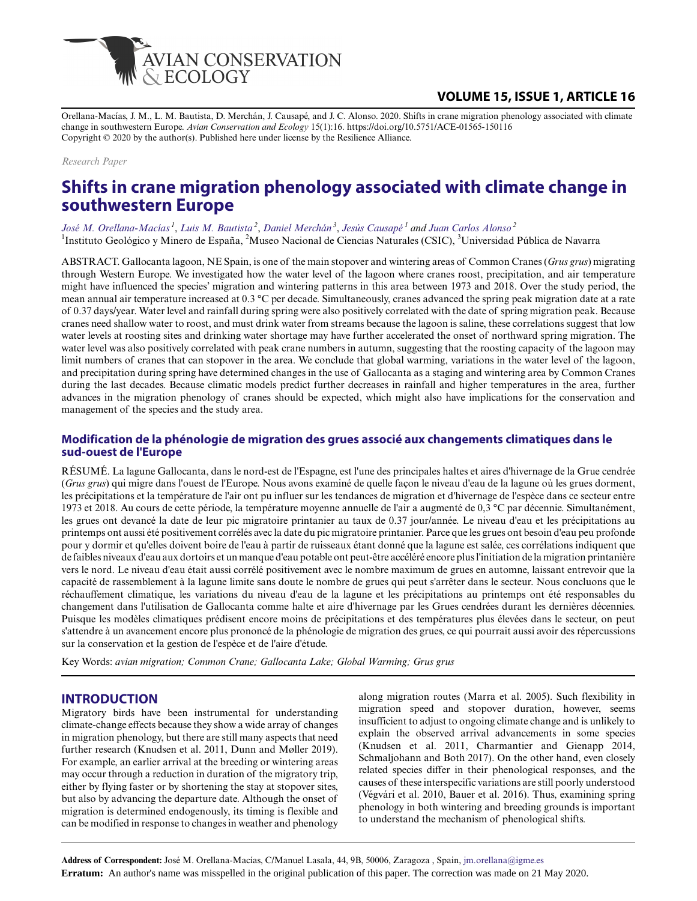

# **VOLUME 15, ISSUE 1, ARTICLE 16**

Orellana-Macías, J. M., L. M. Bautista, D. Merchán, J. Causapé, and J. C. Alonso. 2020. Shifts in crane migration phenology associated with climate change in southwestern Europe. *Avian Conservation and Ecology* 15(1):16. https://doi.org/10.5751/ACE-01565-150116 Copyright © 2020 by the author(s). Published here under license by the Resilience Alliance.

#### *Research Paper*

# **Shifts in crane migration phenology associated with climate change in southwestern Europe**

*[José M. Orellana-Macías](mailto:jm.orellana@igme.es)<sup>1</sup>* , *[Luis M. Bautista](mailto:LM.Bautista@csic.es)<sup>2</sup>* , *[Daniel Merchán](mailto:d.merchan@unavarra.es)<sup>3</sup>* , *[Jesús Causapé](mailto:j.causape@igme.es)<sup>1</sup> and [Juan Carlos Alonso](mailto:jcalonso@mncn.csic.es)<sup>2</sup>* <sup>1</sup>Instituto Geológico y Minero de España, <sup>2</sup>Museo Nacional de Ciencias Naturales (CSIC), <sup>3</sup>Universidad Pública de Navarra

ABSTRACT. Gallocanta lagoon, NE Spain, is one of the main stopover and wintering areas of Common Cranes (*Grus grus*) migrating through Western Europe. We investigated how the water level of the lagoon where cranes roost, precipitation, and air temperature might have influenced the species' migration and wintering patterns in this area between 1973 and 2018. Over the study period, the mean annual air temperature increased at 0.3 °C per decade. Simultaneously, cranes advanced the spring peak migration date at a rate of 0.37 days/year. Water level and rainfall during spring were also positively correlated with the date of spring migration peak. Because cranes need shallow water to roost, and must drink water from streams because the lagoon is saline, these correlations suggest that low water levels at roosting sites and drinking water shortage may have further accelerated the onset of northward spring migration. The water level was also positively correlated with peak crane numbers in autumn, suggesting that the roosting capacity of the lagoon may limit numbers of cranes that can stopover in the area. We conclude that global warming, variations in the water level of the lagoon, and precipitation during spring have determined changes in the use of Gallocanta as a staging and wintering area by Common Cranes during the last decades. Because climatic models predict further decreases in rainfall and higher temperatures in the area, further advances in the migration phenology of cranes should be expected, which might also have implications for the conservation and management of the species and the study area.

#### **Modification de la phénologie de migration des grues associé aux changements climatiques dans le sud-ouest de l'Europe**

RÉSUMÉ. La lagune Gallocanta, dans le nord-est de l'Espagne, est l'une des principales haltes et aires d'hivernage de la Grue cendrée (*Grus grus*) qui migre dans l'ouest de l'Europe. Nous avons examiné de quelle façon le niveau d'eau de la lagune où les grues dorment, les précipitations et la température de l'air ont pu influer sur les tendances de migration et d'hivernage de l'espèce dans ce secteur entre 1973 et 2018. Au cours de cette période, la température moyenne annuelle de l'air a augmenté de 0,3 °C par décennie. Simultanément, les grues ont devancé la date de leur pic migratoire printanier au taux de 0.37 jour/année. Le niveau d'eau et les précipitations au printemps ont aussi été positivement corrélés avec la date du pic migratoire printanier. Parce que les grues ont besoin d'eau peu profonde pour y dormir et qu'elles doivent boire de l'eau à partir de ruisseaux étant donné que la lagune est salée, ces corrélations indiquent que de faibles niveaux d'eau aux dortoirs et un manque d'eau potable ont peut-être accéléré encore plus l'initiation de la migration printanière vers le nord. Le niveau d'eau était aussi corrélé positivement avec le nombre maximum de grues en automne, laissant entrevoir que la capacité de rassemblement à la lagune limite sans doute le nombre de grues qui peut s'arrêter dans le secteur. Nous concluons que le réchauffement climatique, les variations du niveau d'eau de la lagune et les précipitations au printemps ont été responsables du changement dans l'utilisation de Gallocanta comme halte et aire d'hivernage par les Grues cendrées durant les dernières décennies. Puisque les modèles climatiques prédisent encore moins de précipitations et des températures plus élevées dans le secteur, on peut s'attendre à un avancement encore plus prononcé de la phénologie de migration des grues, ce qui pourrait aussi avoir des répercussions sur la conservation et la gestion de l'espèce et de l'aire d'étude.

Key Words: *avian migration; Common Crane; Gallocanta Lake; Global Warming; Grus grus*

### **INTRODUCTION**

Migratory birds have been instrumental for understanding climate-change effects because they show a wide array of changes in migration phenology, but there are still many aspects that need further research (Knudsen et al. 2011, Dunn and Møller 2019). For example, an earlier arrival at the breeding or wintering areas may occur through a reduction in duration of the migratory trip, either by flying faster or by shortening the stay at stopover sites, but also by advancing the departure date. Although the onset of migration is determined endogenously, its timing is flexible and can be modified in response to changes in weather and phenology along migration routes (Marra et al. 2005). Such flexibility in migration speed and stopover duration, however, seems insufficient to adjust to ongoing climate change and is unlikely to explain the observed arrival advancements in some species (Knudsen et al. 2011, Charmantier and Gienapp 2014, Schmaljohann and Both 2017). On the other hand, even closely related species differ in their phenological responses, and the causes of these interspecific variations are still poorly understood (Végvári et al. 2010, Bauer et al. 2016). Thus, examining spring phenology in both wintering and breeding grounds is important to understand the mechanism of phenological shifts.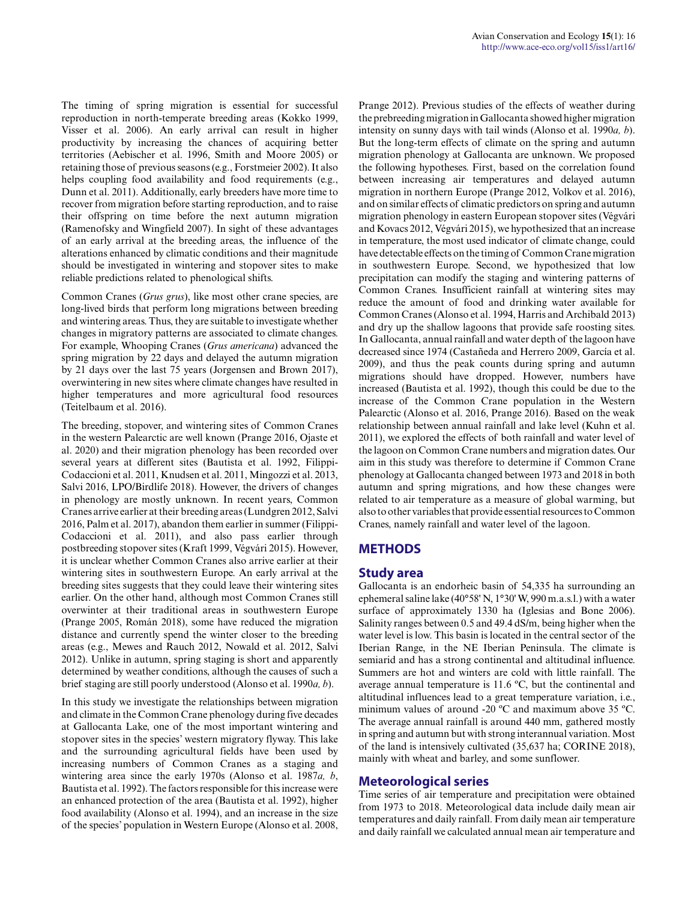The timing of spring migration is essential for successful reproduction in north-temperate breeding areas (Kokko 1999, Visser et al. 2006). An early arrival can result in higher productivity by increasing the chances of acquiring better territories (Aebischer et al. 1996, Smith and Moore 2005) or retaining those of previous seasons (e.g., Forstmeier 2002). It also helps coupling food availability and food requirements (e.g., Dunn et al. 2011). Additionally, early breeders have more time to recover from migration before starting reproduction, and to raise their offspring on time before the next autumn migration (Ramenofsky and Wingfield 2007). In sight of these advantages of an early arrival at the breeding areas, the influence of the alterations enhanced by climatic conditions and their magnitude should be investigated in wintering and stopover sites to make reliable predictions related to phenological shifts.

Common Cranes (*Grus grus*), like most other crane species, are long-lived birds that perform long migrations between breeding and wintering areas. Thus, they are suitable to investigate whether changes in migratory patterns are associated to climate changes. For example, Whooping Cranes (*Grus americana*) advanced the spring migration by 22 days and delayed the autumn migration by 21 days over the last 75 years (Jorgensen and Brown 2017), overwintering in new sites where climate changes have resulted in higher temperatures and more agricultural food resources (Teitelbaum et al. 2016).

The breeding, stopover, and wintering sites of Common Cranes in the western Palearctic are well known (Prange 2016, Ojaste et al. 2020) and their migration phenology has been recorded over several years at different sites (Bautista et al. 1992, Filippi-Codaccioni et al. 2011, Knudsen et al. 2011, Mingozzi et al. 2013, Salvi 2016, LPO/Birdlife 2018). However, the drivers of changes in phenology are mostly unknown. In recent years, Common Cranes arrive earlier at their breeding areas (Lundgren 2012, Salvi 2016, Palm et al. 2017), abandon them earlier in summer (Filippi-Codaccioni et al. 2011), and also pass earlier through postbreeding stopover sites (Kraft 1999, Végvári 2015). However, it is unclear whether Common Cranes also arrive earlier at their wintering sites in southwestern Europe. An early arrival at the breeding sites suggests that they could leave their wintering sites earlier. On the other hand, although most Common Cranes still overwinter at their traditional areas in southwestern Europe (Prange 2005, Román 2018), some have reduced the migration distance and currently spend the winter closer to the breeding areas (e.g., Mewes and Rauch 2012, Nowald et al. 2012, Salvi 2012). Unlike in autumn, spring staging is short and apparently determined by weather conditions, although the causes of such a brief staging are still poorly understood (Alonso et al. 1990*a, b*).

In this study we investigate the relationships between migration and climate in the Common Crane phenology during five decades at Gallocanta Lake, one of the most important wintering and stopover sites in the species' western migratory flyway. This lake and the surrounding agricultural fields have been used by increasing numbers of Common Cranes as a staging and wintering area since the early 1970s (Alonso et al. 1987*a, b*, Bautista et al. 1992). The factors responsible for this increase were an enhanced protection of the area (Bautista et al. 1992), higher food availability (Alonso et al. 1994), and an increase in the size of the species' population in Western Europe (Alonso et al. 2008, Prange 2012). Previous studies of the effects of weather during the prebreeding migration in Gallocanta showed higher migration intensity on sunny days with tail winds (Alonso et al. 1990*a, b*). But the long-term effects of climate on the spring and autumn migration phenology at Gallocanta are unknown. We proposed the following hypotheses. First, based on the correlation found between increasing air temperatures and delayed autumn migration in northern Europe (Prange 2012, Volkov et al. 2016), and on similar effects of climatic predictors on spring and autumn migration phenology in eastern European stopover sites (Végvári and Kovacs 2012, Végvári 2015), we hypothesized that an increase in temperature, the most used indicator of climate change, could have detectable effects on the timing of Common Crane migration in southwestern Europe. Second, we hypothesized that low precipitation can modify the staging and wintering patterns of Common Cranes. Insufficient rainfall at wintering sites may reduce the amount of food and drinking water available for Common Cranes (Alonso et al. 1994, Harris and Archibald 2013) and dry up the shallow lagoons that provide safe roosting sites. In Gallocanta, annual rainfall and water depth of the lagoon have decreased since 1974 (Castañeda and Herrero 2009, García et al. 2009), and thus the peak counts during spring and autumn migrations should have dropped. However, numbers have increased (Bautista et al. 1992), though this could be due to the increase of the Common Crane population in the Western Palearctic (Alonso et al. 2016, Prange 2016). Based on the weak relationship between annual rainfall and lake level (Kuhn et al. 2011), we explored the effects of both rainfall and water level of the lagoon on Common Crane numbers and migration dates. Our aim in this study was therefore to determine if Common Crane phenology at Gallocanta changed between 1973 and 2018 in both autumn and spring migrations, and how these changes were related to air temperature as a measure of global warming, but also to other variables that provide essential resources to Common Cranes, namely rainfall and water level of the lagoon.

### **METHODS**

### **Study area**

Gallocanta is an endorheic basin of 54,335 ha surrounding an ephemeral saline lake (40°58' N, 1°30' W, 990 m.a.s.l.) with a water surface of approximately 1330 ha (Iglesias and Bone 2006). Salinity ranges between 0.5 and 49.4 dS/m, being higher when the water level is low. This basin is located in the central sector of the Iberian Range, in the NE Iberian Peninsula. The climate is semiarid and has a strong continental and altitudinal influence. Summers are hot and winters are cold with little rainfall. The average annual temperature is 11.6 ºC, but the continental and altitudinal influences lead to a great temperature variation, i.e., minimum values of around -20 ºC and maximum above 35 ºC. The average annual rainfall is around 440 mm, gathered mostly in spring and autumn but with strong interannual variation. Most of the land is intensively cultivated (35,637 ha; CORINE 2018), mainly with wheat and barley, and some sunflower.

### **Meteorological series**

Time series of air temperature and precipitation were obtained from 1973 to 2018. Meteorological data include daily mean air temperatures and daily rainfall. From daily mean air temperature and daily rainfall we calculated annual mean air temperature and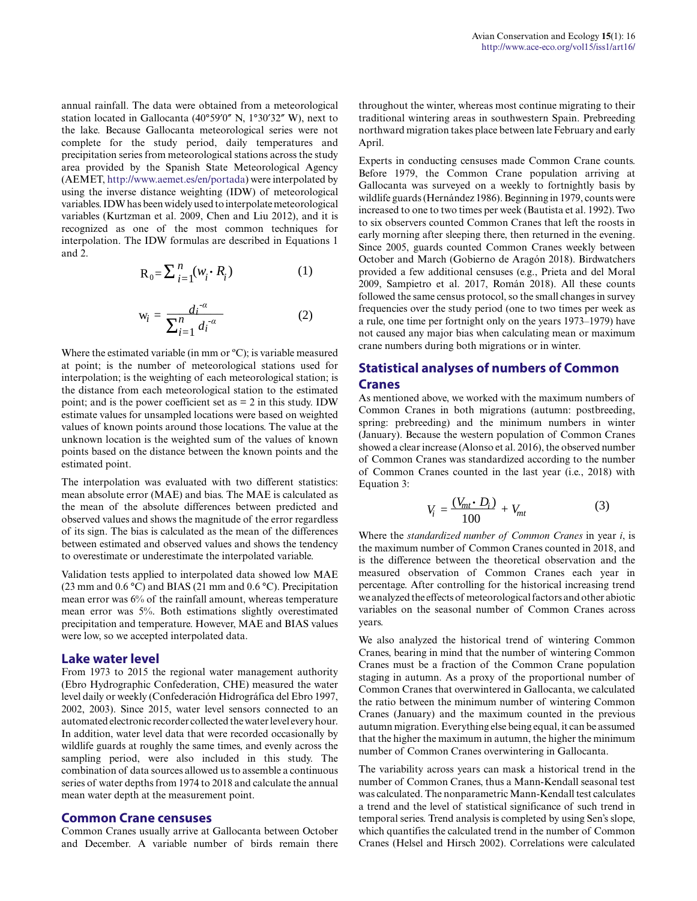annual rainfall. The data were obtained from a meteorological station located in Gallocanta (40°59′0″ N, 1°30′32″ W), next to the lake. Because Gallocanta meteorological series were not complete for the study period, daily temperatures and precipitation series from meteorological stations across the study area provided by the Spanish State Meteorological Agency (AEMET,<http://www.aemet.es/en/portada>) were interpolated by using the inverse distance weighting (IDW) of meteorological variables. IDW has been widely used to interpolate meteorological variables (Kurtzman et al. 2009, Chen and Liu 2012), and it is recognized as one of the most common techniques for interpolation. The IDW formulas are described in Equations 1 and 2. *n*

$$
R_0 = \sum_{i=1}^{n} (w_i \cdot R_i)
$$
 (1)  

$$
w_i = \frac{di^{a}}{\sum_{i=1}^{n} (w_i - a_i)}
$$
 (2)

$$
R_0 = \sum_{i=1}^{n} (w_i \cdot R_i)
$$
 (1)  

$$
w_i = \frac{di^{-\alpha}}{\sum_{i=1}^{n} d_i^{-\alpha}}
$$
 (2)

Interpolation; is the weighting of each meteorological station; is<br>the distance from each meteorological station to the estimated at point; is the number of meteorological stations used for<br>interpolation; is the weighting of each meteorological station; is<br>the distance from each meteorological station to the estimated . at point; is the number of meteorological stations used for Where the estimated variable (in mm or °C); is variable measured point; and is the power coefficient set as  $= 2$  in this study. IDW estimate values for unsampled locations were based on weighted values of known points around those locations. The value at the unknown location is the weighted sum of the values of known points based on the distance between the known points and the estimated point.

The interpolation was evaluated with two different statistics: mean absolute error (MAE) and bias. The MAE is calculated as the mean of the absolute differences between predicted and observed values and shows the magnitude of the error regardless of its sign. The bias is calculated as the mean of the differences between estimated and observed values and shows the tendency to overestimate or underestimate the interpolated variable.

Validation tests applied to interpolated data showed low MAE (23 mm and 0.6 °C) and BIAS (21 mm and 0.6 °C). Precipitation mean error was 6% of the rainfall amount, whereas temperature mean error was 5%. Both estimations slightly overestimated precipitation and temperature. However, MAE and BIAS values were low, so we accepted interpolated data.

#### **Lake water level**

From 1973 to 2015 the regional water management authority (Ebro Hydrographic Confederation, CHE) measured the water level daily or weekly (Confederación Hidrográfica del Ebro 1997, 2002, 2003). Since 2015, water level sensors connected to an automated electronic recorder collected the water level every hour. In addition, water level data that were recorded occasionally by wildlife guards at roughly the same times, and evenly across the sampling period, were also included in this study. The combination of data sources allowed us to assemble a continuous series of water depths from 1974 to 2018 and calculate the annual mean water depth at the measurement point.

#### **Common Crane censuses**

Common Cranes usually arrive at Gallocanta between October and December. A variable number of birds remain there throughout the winter, whereas most continue migrating to their traditional wintering areas in southwestern Spain. Prebreeding northward migration takes place between late February and early April.

Experts in conducting censuses made Common Crane counts. Before 1979, the Common Crane population arriving at Gallocanta was surveyed on a weekly to fortnightly basis by wildlife guards (Hernández 1986). Beginning in 1979, counts were increased to one to two times per week (Bautista et al. 1992). Two to six observers counted Common Cranes that left the roosts in early morning after sleeping there, then returned in the evening. Since 2005, guards counted Common Cranes weekly between October and March (Gobierno de Aragón 2018). Birdwatchers provided a few additional censuses (e.g., Prieta and del Moral 2009, Sampietro et al. 2017, Román 2018). All these counts followed the same census protocol, so the small changes in survey frequencies over the study period (one to two times per week as a rule, one time per fortnight only on the years 1973–1979) have not caused any major bias when calculating mean or maximum crane numbers during both migrations or in winter.

### **Statistical analyses of numbers of Common Cranes**

**As mentioned above, we worked with the maximum numbers of**  $G$  **and**  $G$  **and**  $G$  **is a hoth mismations (outward notationally a** As including above, we worked with the maximum numbers of Common Cranes in both migrations (autumn: postbreeding, spring: prebreeding) and the minimum numbers in winter (January). Because the western population of Common Cranes -*α* (January). Because the western population of Common Cranes showed a clear increase (Alonso et al. 2016), the observed number showed a clear increase (Alonso et al. 2010), the observed number<br>of Common Cranes was standardized according to the number of Common Cranes counted in the last year (i.e., 2018) with Equation 3: *i* as *i* - *a* is a *i* - *a i* - *a i* - *a i* - *a i* - *a i* - *a i* - *a i* - *a i* - *a i* - *a i* - *a i* - *a i* - *a i* - *a i* - *a i* - *a i* - *a i* - *a i* - *a i* - *a i* ed with the maximum numb<br>grations (autumn: postbree<br>*i* minimum numbers in<br>1 population of Common C<br>0 et al. 2016), the observed nu

$$
V_i = \frac{(V_{mt} \cdot D_i)}{100} + V_{mt} \tag{3}
$$

Where the *standardized number of Common Cranes* in year *i*, is the maximum number of Common Cranes counted in 2018, and is the difference between the theoretical observation and the measured observation of Common Cranes each year in percentage. After controlling for the historical increasing trend we analyzed the effects of meteorological factors and other abiotic variables on the seasonal number of Common Cranes across years.

We also analyzed the historical trend of wintering Common Cranes, bearing in mind that the number of wintering Common Cranes must be a fraction of the Common Crane population staging in autumn. As a proxy of the proportional number of Common Cranes that overwintered in Gallocanta, we calculated the ratio between the minimum number of wintering Common Cranes (January) and the maximum counted in the previous autumn migration. Everything else being equal, it can be assumed that the higher the maximum in autumn, the higher the minimum number of Common Cranes overwintering in Gallocanta.

The variability across years can mask a historical trend in the number of Common Cranes, thus a Mann-Kendall seasonal test was calculated. The nonparametric Mann-Kendall test calculates a trend and the level of statistical significance of such trend in temporal series. Trend analysis is completed by using Sen's slope, which quantifies the calculated trend in the number of Common Cranes (Helsel and Hirsch 2002). Correlations were calculated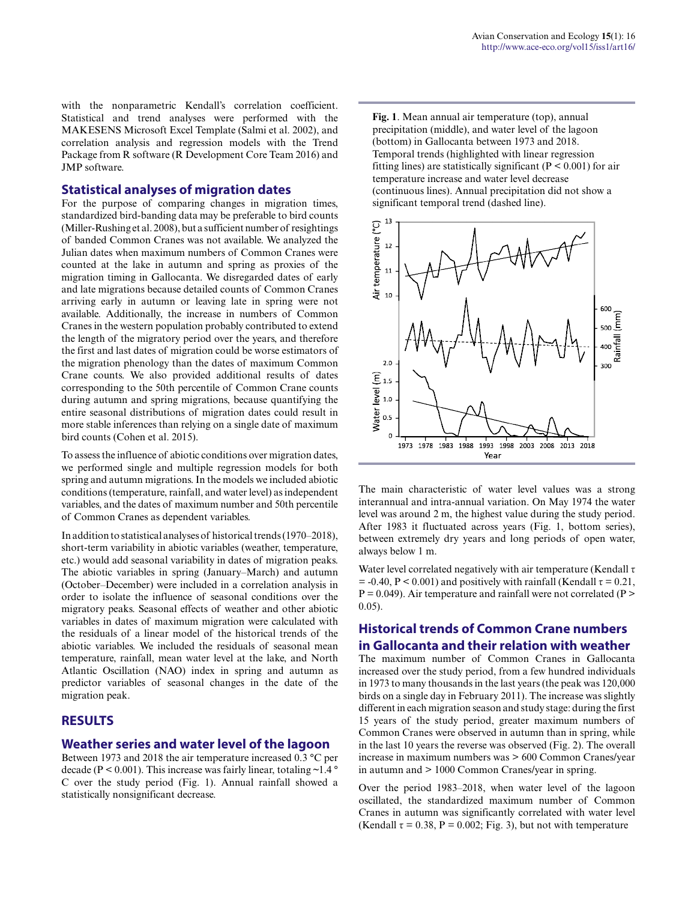with the nonparametric Kendall's correlation coefficient. Statistical and trend analyses were performed with the MAKESENS Microsoft Excel Template (Salmi et al. 2002), and correlation analysis and regression models with the Trend Package from R software (R Development Core Team 2016) and JMP software.

#### **Statistical analyses of migration dates**

For the purpose of comparing changes in migration times, standardized bird-banding data may be preferable to bird counts (Miller-Rushing et al. 2008), but a sufficient number of resightings of banded Common Cranes was not available. We analyzed the Julian dates when maximum numbers of Common Cranes were counted at the lake in autumn and spring as proxies of the migration timing in Gallocanta. We disregarded dates of early and late migrations because detailed counts of Common Cranes arriving early in autumn or leaving late in spring were not available. Additionally, the increase in numbers of Common Cranes in the western population probably contributed to extend the length of the migratory period over the years, and therefore the first and last dates of migration could be worse estimators of the migration phenology than the dates of maximum Common Crane counts. We also provided additional results of dates corresponding to the 50th percentile of Common Crane counts during autumn and spring migrations, because quantifying the entire seasonal distributions of migration dates could result in more stable inferences than relying on a single date of maximum bird counts (Cohen et al. 2015).

To assess the influence of abiotic conditions over migration dates, we performed single and multiple regression models for both spring and autumn migrations. In the models we included abiotic conditions (temperature, rainfall, and water level) as independent variables, and the dates of maximum number and 50th percentile of Common Cranes as dependent variables.

In addition to statistical analyses of historical trends (1970–2018), short-term variability in abiotic variables (weather, temperature, etc.) would add seasonal variability in dates of migration peaks. The abiotic variables in spring (January–March) and autumn (October–December) were included in a correlation analysis in order to isolate the influence of seasonal conditions over the migratory peaks. Seasonal effects of weather and other abiotic variables in dates of maximum migration were calculated with the residuals of a linear model of the historical trends of the abiotic variables. We included the residuals of seasonal mean temperature, rainfall, mean water level at the lake, and North Atlantic Oscillation (NAO) index in spring and autumn as predictor variables of seasonal changes in the date of the migration peak.

### **RESULTS**

#### **Weather series and water level of the lagoon**

Between 1973 and 2018 the air temperature increased 0.3 °C per decade ( $P < 0.001$ ). This increase was fairly linear, totaling  $\sim 1.4$  ° C over the study period (Fig. 1). Annual rainfall showed a statistically nonsignificant decrease.

**Fig. 1**. Mean annual air temperature (top), annual precipitation (middle), and water level of the lagoon (bottom) in Gallocanta between 1973 and 2018. Temporal trends (highlighted with linear regression fitting lines) are statistically significant ( $P < 0.001$ ) for air temperature increase and water level decrease (continuous lines). Annual precipitation did not show a significant temporal trend (dashed line).



The main characteristic of water level values was a strong interannual and intra-annual variation. On May 1974 the water level was around 2 m, the highest value during the study period. After 1983 it fluctuated across years (Fig. 1, bottom series), between extremely dry years and long periods of open water, always below 1 m.

Water level correlated negatively with air temperature (Kendall  $\tau$ )  $= -0.40$ , P < 0.001) and positively with rainfall (Kendall  $\tau = 0.21$ ,  $P = 0.049$ ). Air temperature and rainfall were not correlated (P  $>$ 0.05).

### **Historical trends of Common Crane numbers in Gallocanta and their relation with weather**

The maximum number of Common Cranes in Gallocanta increased over the study period, from a few hundred individuals in 1973 to many thousands in the last years (the peak was 120,000 birds on a single day in February 2011). The increase was slightly different in each migration season and study stage: during the first 15 years of the study period, greater maximum numbers of Common Cranes were observed in autumn than in spring, while in the last 10 years the reverse was observed (Fig. 2). The overall increase in maximum numbers was > 600 Common Cranes/year in autumn and > 1000 Common Cranes/year in spring.

Over the period 1983–2018, when water level of the lagoon oscillated, the standardized maximum number of Common Cranes in autumn was significantly correlated with water level (Kendall  $\tau = 0.38$ , P = 0.002; Fig. 3), but not with temperature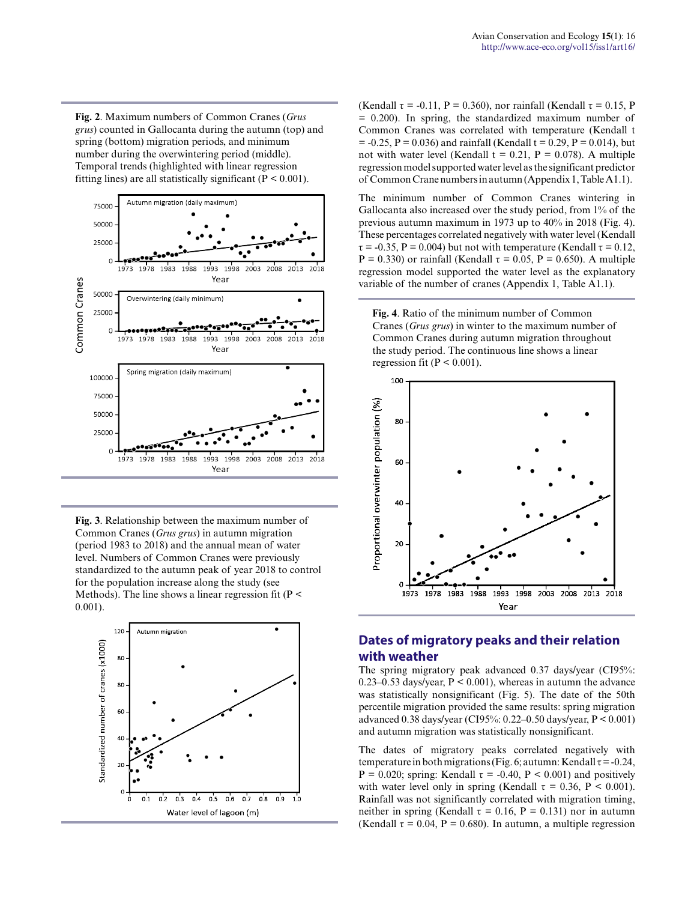**Fig. 2**. Maximum numbers of Common Cranes (*Grus grus*) counted in Gallocanta during the autumn (top) and spring (bottom) migration periods, and minimum number during the overwintering period (middle). Temporal trends (highlighted with linear regression fitting lines) are all statistically significant ( $P < 0.001$ ).



**Fig. 3**. Relationship between the maximum number of Common Cranes (*Grus grus*) in autumn migration (period 1983 to 2018) and the annual mean of water level. Numbers of Common Cranes were previously standardized to the autumn peak of year 2018 to control for the population increase along the study (see Methods). The line shows a linear regression fit ( $P \leq$ 0.001).



(Kendall  $\tau$  = -0.11, P = 0.360), nor rainfall (Kendall  $\tau$  = 0.15, P = 0.200). In spring, the standardized maximum number of Common Cranes was correlated with temperature (Kendall t  $= -0.25$ ,  $P = 0.036$ ) and rainfall (Kendall t = 0.29, P = 0.014), but not with water level (Kendall  $t = 0.21$ ,  $P = 0.078$ ). A multiple regression model supported water level as the significant predictor of Common Crane numbers in autumn (Appendix 1, Table A1.1).

The minimum number of Common Cranes wintering in Gallocanta also increased over the study period, from 1% of the previous autumn maximum in 1973 up to 40% in 2018 (Fig. 4). These percentages correlated negatively with water level (Kendall  $\tau$  = -0.35, P = 0.004) but not with temperature (Kendall  $\tau$  = 0.12, P = 0.330) or rainfall (Kendall  $\tau$  = 0.05, P = 0.650). A multiple regression model supported the water level as the explanatory variable of the number of cranes (Appendix 1, Table A1.1).

**Fig. 4**. Ratio of the minimum number of Common Cranes (*Grus grus*) in winter to the maximum number of Common Cranes during autumn migration throughout the study period. The continuous line shows a linear regression fit ( $P \le 0.001$ ).



## **Dates of migratory peaks and their relation with weather**

The spring migratory peak advanced 0.37 days/year (CI95%: 0.23–0.53 days/year,  $P < 0.001$ ), whereas in autumn the advance was statistically nonsignificant (Fig. 5). The date of the 50th percentile migration provided the same results: spring migration advanced 0.38 days/year (CI95%: 0.22–0.50 days/year, P < 0.001) and autumn migration was statistically nonsignificant.

The dates of migratory peaks correlated negatively with temperature in both migrations (Fig. 6; autumn: Kendall  $\tau$  = -0.24,  $P = 0.020$ ; spring: Kendall  $\tau = -0.40$ ,  $P < 0.001$ ) and positively with water level only in spring (Kendall  $\tau = 0.36$ , P < 0.001). Rainfall was not significantly correlated with migration timing, neither in spring (Kendall  $\tau = 0.16$ , P = 0.131) nor in autumn (Kendall  $\tau = 0.04$ , P = 0.680). In autumn, a multiple regression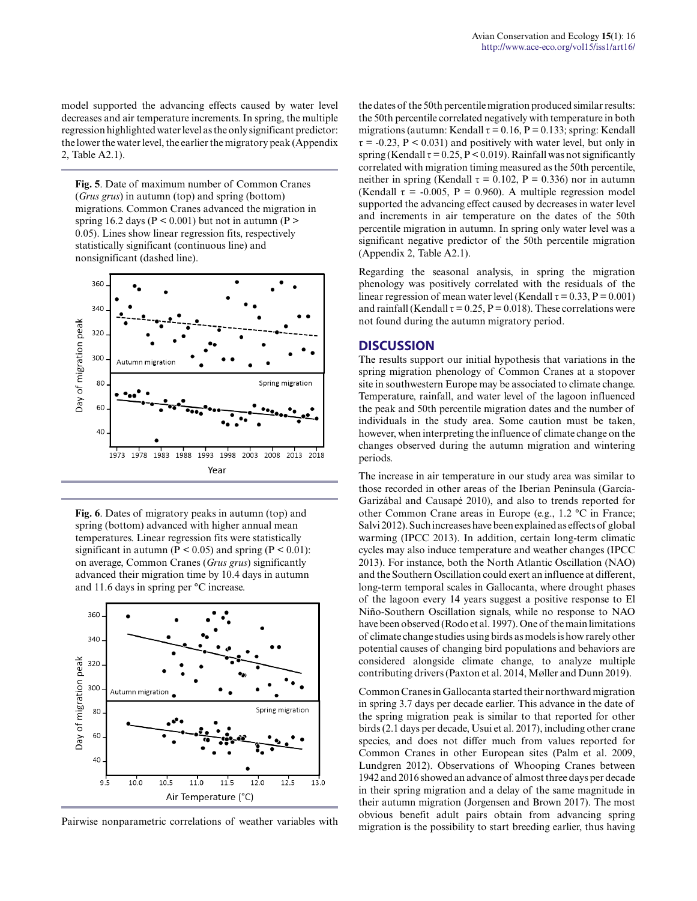model supported the advancing effects caused by water level decreases and air temperature increments. In spring, the multiple regression highlighted water level as the only significant predictor: the lower the water level, the earlier the migratory peak (Appendix 2, Table A2.1).

**Fig. 5**. Date of maximum number of Common Cranes (*Grus grus*) in autumn (top) and spring (bottom) migrations. Common Cranes advanced the migration in spring 16.2 days ( $P < 0.001$ ) but not in autumn ( $P >$ 0.05). Lines show linear regression fits, respectively statistically significant (continuous line) and nonsignificant (dashed line).



**Fig. 6**. Dates of migratory peaks in autumn (top) and spring (bottom) advanced with higher annual mean temperatures. Linear regression fits were statistically significant in autumn ( $P < 0.05$ ) and spring ( $P < 0.01$ ): on average, Common Cranes (*Grus grus*) significantly advanced their migration time by 10.4 days in autumn and 11.6 days in spring per °C increase.



Pairwise nonparametric correlations of weather variables with

the dates of the 50th percentile migration produced similar results: the 50th percentile correlated negatively with temperature in both migrations (autumn: Kendall  $\tau = 0.16$ , P = 0.133; spring: Kendall  $\tau$  = -0.23, P < 0.031) and positively with water level, but only in spring (Kendall  $\tau = 0.25$ , P < 0.019). Rainfall was not significantly correlated with migration timing measured as the 50th percentile, neither in spring (Kendall  $\tau = 0.102$ , P = 0.336) nor in autumn (Kendall  $\tau = -0.005$ , P = 0.960). A multiple regression model supported the advancing effect caused by decreases in water level and increments in air temperature on the dates of the 50th percentile migration in autumn. In spring only water level was a significant negative predictor of the 50th percentile migration (Appendix 2, Table A2.1).

Regarding the seasonal analysis, in spring the migration phenology was positively correlated with the residuals of the linear regression of mean water level (Kendall  $\tau = 0.33$ , P = 0.001) and rainfall (Kendall  $\tau = 0.25$ , P = 0.018). These correlations were not found during the autumn migratory period.

#### **DISCUSSION**

The results support our initial hypothesis that variations in the spring migration phenology of Common Cranes at a stopover site in southwestern Europe may be associated to climate change. Temperature, rainfall, and water level of the lagoon influenced the peak and 50th percentile migration dates and the number of individuals in the study area. Some caution must be taken, however, when interpreting the influence of climate change on the changes observed during the autumn migration and wintering periods.

The increase in air temperature in our study area was similar to those recorded in other areas of the Iberian Peninsula (García-Garizábal and Causapé 2010), and also to trends reported for other Common Crane areas in Europe (e.g., 1.2 °C in France; Salvi 2012). Such increases have been explained as effects of global warming (IPCC 2013). In addition, certain long-term climatic cycles may also induce temperature and weather changes (IPCC 2013). For instance, both the North Atlantic Oscillation (NAO) and the Southern Oscillation could exert an influence at different, long-term temporal scales in Gallocanta, where drought phases of the lagoon every 14 years suggest a positive response to El Niño-Southern Oscillation signals, while no response to NAO have been observed (Rodo et al. 1997). One of the main limitations of climate change studies using birds as models is how rarely other potential causes of changing bird populations and behaviors are considered alongside climate change, to analyze multiple contributing drivers (Paxton et al. 2014, Møller and Dunn 2019).

Common Cranes in Gallocanta started their northward migration in spring 3.7 days per decade earlier. This advance in the date of the spring migration peak is similar to that reported for other birds (2.1 days per decade, Usui et al. 2017), including other crane species, and does not differ much from values reported for Common Cranes in other European sites (Palm et al. 2009, Lundgren 2012). Observations of Whooping Cranes between 1942 and 2016 showed an advance of almost three days per decade in their spring migration and a delay of the same magnitude in their autumn migration (Jorgensen and Brown 2017). The most obvious benefit adult pairs obtain from advancing spring migration is the possibility to start breeding earlier, thus having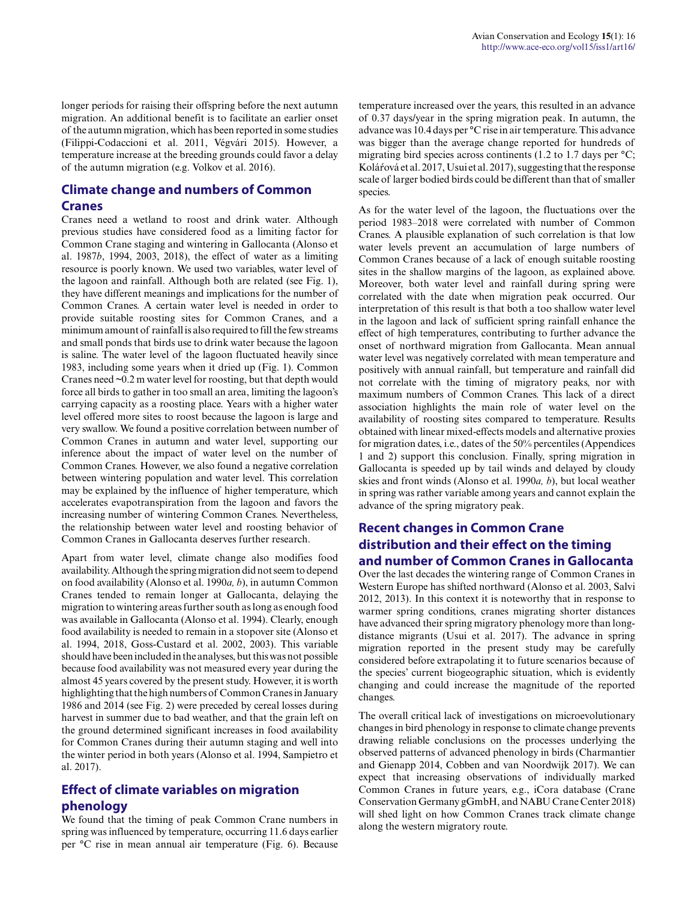longer periods for raising their offspring before the next autumn migration. An additional benefit is to facilitate an earlier onset of the autumn migration, which has been reported in some studies (Filippi-Codaccioni et al. 2011, Végvári 2015). However, a temperature increase at the breeding grounds could favor a delay of the autumn migration (e.g. Volkov et al. 2016).

### **Climate change and numbers of Common Cranes**

Cranes need a wetland to roost and drink water. Although previous studies have considered food as a limiting factor for Common Crane staging and wintering in Gallocanta (Alonso et al. 1987*b*, 1994, 2003, 2018), the effect of water as a limiting resource is poorly known. We used two variables, water level of the lagoon and rainfall. Although both are related (see Fig. 1), they have different meanings and implications for the number of Common Cranes. A certain water level is needed in order to provide suitable roosting sites for Common Cranes, and a minimum amount of rainfall is also required to fill the few streams and small ponds that birds use to drink water because the lagoon is saline. The water level of the lagoon fluctuated heavily since 1983, including some years when it dried up (Fig. 1). Common Cranes need ~0.2 m water level for roosting, but that depth would force all birds to gather in too small an area, limiting the lagoon's carrying capacity as a roosting place. Years with a higher water level offered more sites to roost because the lagoon is large and very swallow. We found a positive correlation between number of Common Cranes in autumn and water level, supporting our inference about the impact of water level on the number of Common Cranes. However, we also found a negative correlation between wintering population and water level. This correlation may be explained by the influence of higher temperature, which accelerates evapotranspiration from the lagoon and favors the increasing number of wintering Common Cranes. Nevertheless, the relationship between water level and roosting behavior of Common Cranes in Gallocanta deserves further research.

Apart from water level, climate change also modifies food availability. Although the spring migration did not seem to depend on food availability (Alonso et al. 1990*a, b*), in autumn Common Cranes tended to remain longer at Gallocanta, delaying the migration to wintering areas further south as long as enough food was available in Gallocanta (Alonso et al. 1994). Clearly, enough food availability is needed to remain in a stopover site (Alonso et al. 1994, 2018, Goss-Custard et al. 2002, 2003). This variable should have been included in the analyses, but this was not possible because food availability was not measured every year during the almost 45 years covered by the present study. However, it is worth highlighting that the high numbers of Common Cranes in January 1986 and 2014 (see Fig. 2) were preceded by cereal losses during harvest in summer due to bad weather, and that the grain left on the ground determined significant increases in food availability for Common Cranes during their autumn staging and well into the winter period in both years (Alonso et al. 1994, Sampietro et al. 2017).

## **Effect of climate variables on migration phenology**

We found that the timing of peak Common Crane numbers in spring was influenced by temperature, occurring 11.6 days earlier per °C rise in mean annual air temperature (Fig. 6). Because temperature increased over the years, this resulted in an advance of 0.37 days/year in the spring migration peak. In autumn, the advance was 10.4 days per °C rise in air temperature. This advance was bigger than the average change reported for hundreds of migrating bird species across continents (1.2 to 1.7 days per  $\mathrm{^{\circ}C}$ ; Koláŕová et al. 2017, Usui et al. 2017), suggesting that the response scale of larger bodied birds could be different than that of smaller species.

As for the water level of the lagoon, the fluctuations over the period 1983–2018 were correlated with number of Common Cranes. A plausible explanation of such correlation is that low water levels prevent an accumulation of large numbers of Common Cranes because of a lack of enough suitable roosting sites in the shallow margins of the lagoon, as explained above. Moreover, both water level and rainfall during spring were correlated with the date when migration peak occurred. Our interpretation of this result is that both a too shallow water level in the lagoon and lack of sufficient spring rainfall enhance the effect of high temperatures, contributing to further advance the onset of northward migration from Gallocanta. Mean annual water level was negatively correlated with mean temperature and positively with annual rainfall, but temperature and rainfall did not correlate with the timing of migratory peaks, nor with maximum numbers of Common Cranes. This lack of a direct association highlights the main role of water level on the availability of roosting sites compared to temperature. Results obtained with linear mixed-effects models and alternative proxies for migration dates, i.e., dates of the 50% percentiles (Appendices 1 and 2) support this conclusion. Finally, spring migration in Gallocanta is speeded up by tail winds and delayed by cloudy skies and front winds (Alonso et al. 1990*a, b*), but local weather in spring was rather variable among years and cannot explain the advance of the spring migratory peak.

### **Recent changes in Common Crane distribution and their effect on the timing and number of Common Cranes in Gallocanta**

Over the last decades the wintering range of Common Cranes in Western Europe has shifted northward (Alonso et al. 2003, Salvi 2012, 2013). In this context it is noteworthy that in response to warmer spring conditions, cranes migrating shorter distances have advanced their spring migratory phenology more than longdistance migrants (Usui et al. 2017). The advance in spring migration reported in the present study may be carefully considered before extrapolating it to future scenarios because of the species' current biogeographic situation, which is evidently changing and could increase the magnitude of the reported changes.

The overall critical lack of investigations on microevolutionary changes in bird phenology in response to climate change prevents drawing reliable conclusions on the processes underlying the observed patterns of advanced phenology in birds (Charmantier and Gienapp 2014, Cobben and van Noordwijk 2017). We can expect that increasing observations of individually marked Common Cranes in future years, e.g., iCora database (Crane Conservation Germany gGmbH, and NABU Crane Center 2018) will shed light on how Common Cranes track climate change along the western migratory route.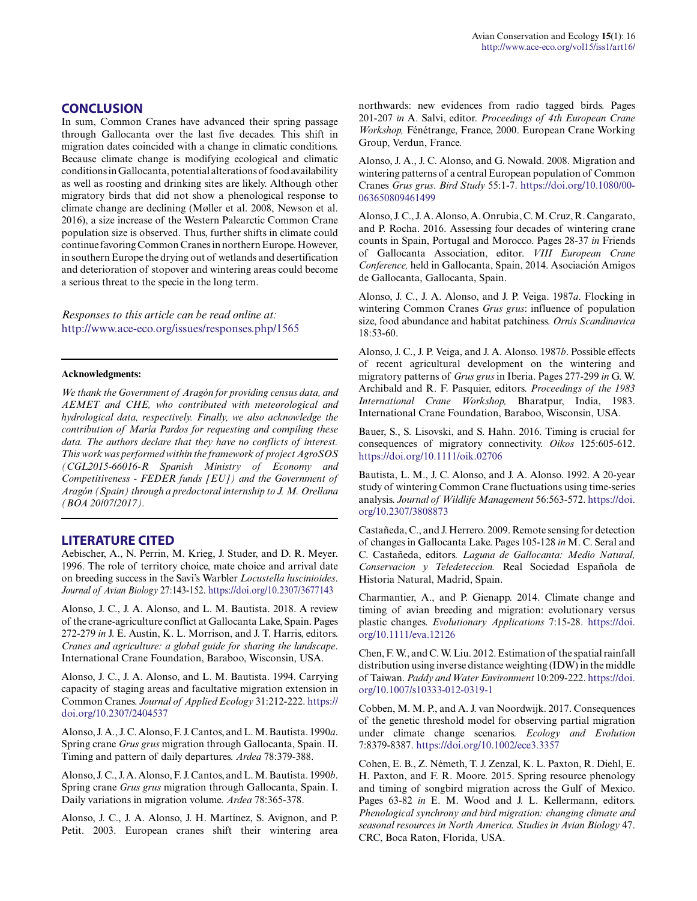In sum, Common Cranes have advanced their spring passage through Gallocanta over the last five decades. This shift in migration dates coincided with a change in climatic conditions. Because climate change is modifying ecological and climatic conditions in Gallocanta, potential alterations of food availability as well as roosting and drinking sites are likely. Although other migratory birds that did not show a phenological response to climate change are declining (Møller et al. 2008, Newson et al. 2016), a size increase of the Western Palearctic Common Crane population size is observed. Thus, further shifts in climate could continue favoring Common Cranes in northern Europe. However, in southern Europe the drying out of wetlands and desertification and deterioration of stopover and wintering areas could become a serious threat to the specie in the long term.

*Responses to this article can be read online at:* <http://www.ace-eco.org/issues/responses.php/1565>

#### **Acknowledgments:**

*We thank the Government of Aragón for providing census data, and AEMET and CHE, who contributed with meteorological and hydrological data, respectively. Finally, we also acknowledge the contribution of María Pardos for requesting and compiling these data. The authors declare that they have no conflicts of interest. This work was performed within the framework of project AgroSOS (CGL2015-66016-R Spanish Ministry of Economy and Competitiveness - FEDER funds [EU]) and the Government of Aragón (Spain) through a predoctoral internship to J. M. Orellana (BOA 20/07/2017).*

#### **LITERATURE CITED**

Aebischer, A., N. Perrin, M. Krieg, J. Studer, and D. R. Meyer. 1996. The role of territory choice, mate choice and arrival date on breeding success in the Savi's Warbler *Locustella luscinioides*. *Journal of Avian Biology* 27:143-152. <https://doi.org/10.2307/3677143>

Alonso, J. C., J. A. Alonso, and L. M. Bautista. 2018. A review of the crane-agriculture conflict at Gallocanta Lake, Spain. Pages 272-279 *in* J. E. Austin, K. L. Morrison, and J. T. Harris, editors. *Cranes and agriculture: a global guide for sharing the landscape*. International Crane Foundation, Baraboo, Wisconsin, USA.

Alonso, J. C., J. A. Alonso, and L. M. Bautista. 1994. Carrying capacity of staging areas and facultative migration extension in Common Cranes. *Journal of Applied Ecology* 31:212-222. [https://](https://doi.org/10.2307/2404537) [doi.org/10.2307/2404537](https://doi.org/10.2307/2404537) 

Alonso, J. A., J. C. Alonso, F. J. Cantos, and L. M. Bautista. 1990*a*. Spring crane *Grus grus* migration through Gallocanta, Spain. II. Timing and pattern of daily departures. *Ardea* 78:379-388.

Alonso, J. C., J. A. Alonso, F. J. Cantos, and L. M. Bautista. 1990*b*. Spring crane *Grus grus* migration through Gallocanta, Spain. I. Daily variations in migration volume. *Ardea* 78:365-378.

Alonso, J. C., J. A. Alonso, J. H. Martínez, S. Avignon, and P. Petit. 2003. European cranes shift their wintering area northwards: new evidences from radio tagged birds. Pages 201-207 *in* A. Salvi, editor. *Proceedings of 4th European Crane Workshop,* Fénétrange, France, 2000. European Crane Working Group, Verdun, France.

Alonso, J. A., J. C. Alonso, and G. Nowald. 2008. Migration and wintering patterns of a central European population of Common Cranes *Grus grus*. *Bird Study* 55:1-7. [https://doi.org/10.1080/00](https://doi.org/10.1080/00063650809461499) [063650809461499](https://doi.org/10.1080/00063650809461499)

Alonso, J. C., J. A. Alonso, A. Onrubia, C. M. Cruz, R. Cangarato, and P. Rocha. 2016. Assessing four decades of wintering crane counts in Spain, Portugal and Morocco. Pages 28-37 *in* Friends of Gallocanta Association, editor. *VIII European Crane Conference,* held in Gallocanta, Spain, 2014. Asociación Amigos de Gallocanta, Gallocanta, Spain.

Alonso, J. C., J. A. Alonso, and J. P. Veiga. 1987*a*. Flocking in wintering Common Cranes *Grus grus*: influence of population size, food abundance and habitat patchiness. *Ornis Scandinavica* 18:53-60.

Alonso, J. C., J. P. Veiga, and J. A. Alonso. 1987*b*. Possible effects of recent agricultural development on the wintering and migratory patterns of *Grus grus* in Iberia. Pages 277-299 *in* G. W. Archibald and R. F. Pasquier, editors. *Proceedings of the 1983 International Crane Workshop,* Bharatpur, India, 1983. International Crane Foundation, Baraboo, Wisconsin, USA.

Bauer, S., S. Lisovski, and S. Hahn. 2016. Timing is crucial for consequences of migratory connectivity. *Oikos* 125:605-612. <https://doi.org/10.1111/oik.02706>

Bautista, L. M., J. C. Alonso, and J. A. Alonso. 1992. A 20-year study of wintering Common Crane fluctuations using time-series analysis. *Journal of Wildlife Management* 56:563-572. [https://doi.](https://doi.org/10.2307/3808873) [org/10.2307/3808873](https://doi.org/10.2307/3808873) 

Castañeda, C., and J. Herrero. 2009. Remote sensing for detection of changes in Gallocanta Lake. Pages 105-128 *in* M. C. Seral and C. Castañeda, editors*. Laguna de Gallocanta: Medio Natural, Conservacion y Teledeteccion.* Real Sociedad Española de Historia Natural, Madrid, Spain.

Charmantier, A., and P. Gienapp. 2014. Climate change and timing of avian breeding and migration: evolutionary versus plastic changes. *Evolutionary Applications* 7:15-28. [https://doi.](https://doi.org/10.1111/eva.12126) [org/10.1111/eva.12126](https://doi.org/10.1111/eva.12126) 

Chen, F. W., and C. W. Liu. 2012. Estimation of the spatial rainfall distribution using inverse distance weighting (IDW) in the middle of Taiwan. *Paddy and Water Environment* 10:209-222. [https://doi.](https://doi.org/10.1007/s10333-012-0319-1) [org/10.1007/s10333-012-0319-1](https://doi.org/10.1007/s10333-012-0319-1)

Cobben, M. M. P., and A. J. van Noordwijk. 2017. Consequences of the genetic threshold model for observing partial migration under climate change scenarios. *Ecology and Evolution* 7:8379-8387. <https://doi.org/10.1002/ece3.3357>

Cohen, E. B., Z. Németh, T. J. Zenzal, K. L. Paxton, R. Diehl, E. H. Paxton, and F. R. Moore. 2015. Spring resource phenology and timing of songbird migration across the Gulf of Mexico. Pages 63-82 *in* E. M. Wood and J. L. Kellermann, editors. *Phenological synchrony and bird migration: changing climate and seasonal resources in North America. Studies in Avian Biology* 47. CRC, Boca Raton, Florida, USA.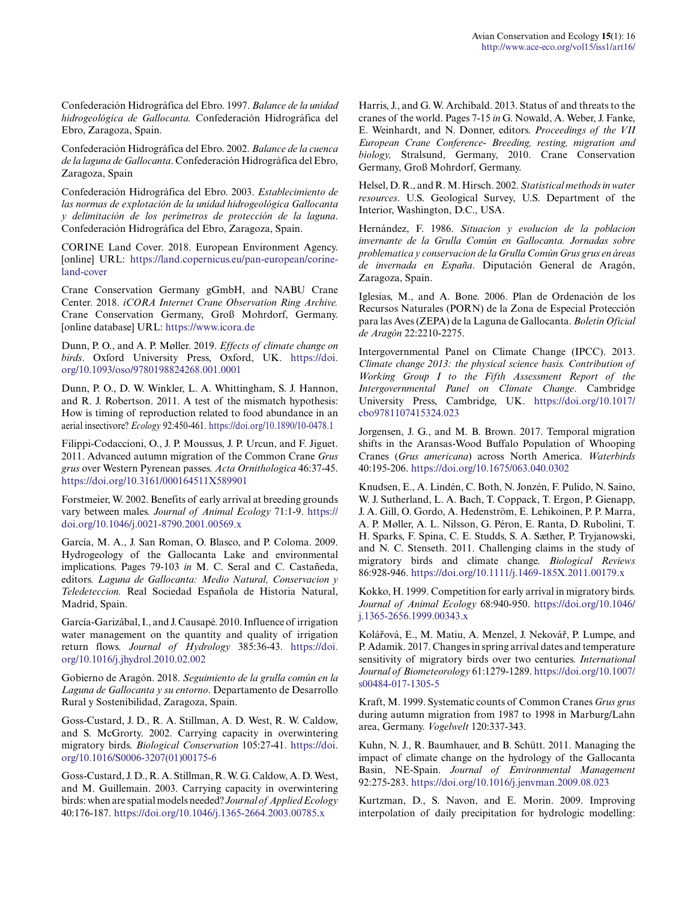Confederación Hidrográfica del Ebro. 1997. *Balance de la unidad hidrogeológica de Gallocanta.* Confederación Hidrográfica del Ebro, Zaragoza, Spain.

Confederación Hidrográfica del Ebro. 2002. *Balance de la cuenca de la laguna de Gallocanta*. Confederación Hidrográfica del Ebro, Zaragoza, Spain

Confederación Hidrográfica del Ebro. 2003. *Establecimiento de las normas de explotación de la unidad hidrogeológica Gallocanta y delimitación de los perímetros de protección de la laguna*. Confederación Hidrográfica del Ebro, Zaragoza, Spain.

CORINE Land Cover. 2018. European Environment Agency. [online] URL: [https://land.copernicus.eu/pan-european/corine](https://land.copernicus.eu/pan-european/corine-land-cover)[land-cover](https://land.copernicus.eu/pan-european/corine-land-cover)

Crane Conservation Germany gGmbH, and NABU Crane Center. 2018. *iCORA Internet Crane Observation Ring Archive.* Crane Conservation Germany, Groß Mohrdorf, Germany. [online database] URL:<https://www.icora.de>

Dunn, P. O., and A. P. Møller. 2019. *Effects of climate change on birds*. Oxford University Press, Oxford, UK. [https://doi.](https://doi.org/10.1093/oso/9780198824268.001.0001) [org/10.1093/oso/9780198824268.001.0001](https://doi.org/10.1093/oso/9780198824268.001.0001) 

Dunn, P. O., D. W. Winkler, L. A. Whittingham, S. J. Hannon, and R. J. Robertson. 2011. A test of the mismatch hypothesis: How is timing of reproduction related to food abundance in an aerial insectivore? *Ecology* 92:450-461.<https://doi.org/10.1890/10-0478.1>

Filippi-Codaccioni, O., J. P. Moussus, J. P. Urcun, and F. Jiguet. 2011. Advanced autumn migration of the Common Crane *Grus grus* over Western Pyrenean passes. *Acta Ornithologica* 46:37-45. <https://doi.org/10.3161/000164511X589901>

Forstmeier, W. 2002. Benefits of early arrival at breeding grounds vary between males. *Journal of Animal Ecology* 71:1-9. [https://](https://doi.org/10.1046/j.0021-8790.2001.00569.x) [doi.org/10.1046/j.0021-8790.2001.00569.x](https://doi.org/10.1046/j.0021-8790.2001.00569.x)

García, M. A., J. San Roman, O. Blasco, and P. Coloma. 2009. Hydrogeology of the Gallocanta Lake and environmental implications. Pages 79-103 *in* M. C. Seral and C. Castañeda, editors*. Laguna de Gallocanta: Medio Natural, Conservacion y Teledeteccion.* Real Sociedad Española de Historia Natural, Madrid, Spain.

García-Garizábal, I., and J. Causapé. 2010. Influence of irrigation water management on the quantity and quality of irrigation return flows. *Journal of Hydrology* 385:36-43. [https://doi.](https://doi.org/10.1016/j.jhydrol.2010.02.002) [org/10.1016/j.jhydrol.2010.02.002](https://doi.org/10.1016/j.jhydrol.2010.02.002) 

Gobierno de Aragón. 2018. *Seguimiento de la grulla común en la Laguna de Gallocanta y su entorno*. Departamento de Desarrollo Rural y Sostenibilidad, Zaragoza, Spain.

Goss-Custard, J. D., R. A. Stillman, A. D. West, R. W. Caldow, and S. McGrorty. 2002. Carrying capacity in overwintering migratory birds. *Biological Conservation* 105:27-41. [https://doi.](https://doi.org/10.1016/S0006-3207(01)00175-6) [org/10.1016/S0006-3207\(01\)00175-6](https://doi.org/10.1016/S0006-3207(01)00175-6)

Goss-Custard, J. D., R. A. Stillman, R. W. G. Caldow, A. D. West, and M. Guillemain. 2003. Carrying capacity in overwintering birds: when are spatial models needed? *Journal of Applied Ecology* 40:176-187.<https://doi.org/10.1046/j.1365-2664.2003.00785.x>

Harris, J., and G. W. Archibald. 2013. Status of and threats to the cranes of the world. Pages 7-15 *in* G. Nowald, A. Weber, J. Fanke, E. Weinhardt, and N. Donner, editors. *Proceedings of the VII European Crane Conference- Breeding, resting, migration and biology,* Stralsund, Germany, 2010. Crane Conservation Germany, Groß Mohrdorf, Germany.

Helsel, D. R., and R. M. Hirsch. 2002. *Statistical methods in water resources*. U.S. Geological Survey, U.S. Department of the Interior, Washington, D.C., USA.

Hernández, F. 1986. *Situacion y evolucion de la poblacion invernante de la Grulla Común en Gallocanta. Jornadas sobre problematica y conservacion de la Grulla Común Grus grus en áreas de invernada en España*. Diputación General de Aragón, Zaragoza, Spain.

Iglesias, M., and A. Bone. 2006. Plan de Ordenación de los Recursos Naturales (PORN) de la Zona de Especial Protección para las Aves (ZEPA) de la Laguna de Gallocanta. *Boletín Oficial de Aragón* 22:2210-2275.

Intergovernmental Panel on Climate Change (IPCC). 2013. *Climate change 2013: the physical science basis. Contribution of Working Group I to the Fifth Assessment Report of the Intergovernmental Panel on Climate Change*. Cambridge University Press, Cambridge, UK. [https://doi.org/10.1017/](https://doi.org/10.1017/cbo9781107415324.023) [cbo9781107415324.023](https://doi.org/10.1017/cbo9781107415324.023)

Jorgensen, J. G., and M. B. Brown. 2017. Temporal migration shifts in the Aransas-Wood Buffalo Population of Whooping Cranes (*Grus americana*) across North America. *Waterbirds* 40:195-206.<https://doi.org/10.1675/063.040.0302>

Knudsen, E., A. Lindén, C. Both, N. Jonzén, F. Pulido, N. Saino, W. J. Sutherland, L. A. Bach, T. Coppack, T. Ergon, P. Gienapp, J. A. Gill, O. Gordo, A. Hedenström, E. Lehikoinen, P. P. Marra, A. P. Møller, A. L. Nilsson, G. Péron, E. Ranta, D. Rubolini, T. H. Sparks, F. Spina, C. E. Studds, S. A. Sæther, P. Tryjanowski, and N. C. Stenseth. 2011. Challenging claims in the study of migratory birds and climate change. *Biological Reviews* 86:928-946.<https://doi.org/10.1111/j.1469-185X.2011.00179.x>

Kokko, H. 1999. Competition for early arrival in migratory birds. *Journal of Animal Ecology* 68:940-950. [https://doi.org/10.1046/](https://doi.org/10.1046/j.1365-2656.1999.00343.x) [j.1365-2656.1999.00343.x](https://doi.org/10.1046/j.1365-2656.1999.00343.x)

Kolářová, E., M. Matiu, A. Menzel, J. Nekovář, P. Lumpe, and P. Adamik. 2017. Changes in spring arrival dates and temperature sensitivity of migratory birds over two centuries. *International Journal of Biometeorology* 61:1279-1289. [https://doi.org/10.1007/](https://doi.org/10.1007/s00484-017-1305-5) [s00484-017-1305-5](https://doi.org/10.1007/s00484-017-1305-5) 

Kraft, M. 1999. Systematic counts of Common Cranes *Grus grus* during autumn migration from 1987 to 1998 in Marburg/Lahn area, Germany. *Vogelwelt* 120:337-343.

Kuhn, N. J., R. Baumhauer, and B. Schütt. 2011. Managing the impact of climate change on the hydrology of the Gallocanta Basin, NE-Spain. *Journal of Environmental Management* 92:275-283.<https://doi.org/10.1016/j.jenvman.2009.08.023>

Kurtzman, D., S. Navon, and E. Morin. 2009. Improving interpolation of daily precipitation for hydrologic modelling: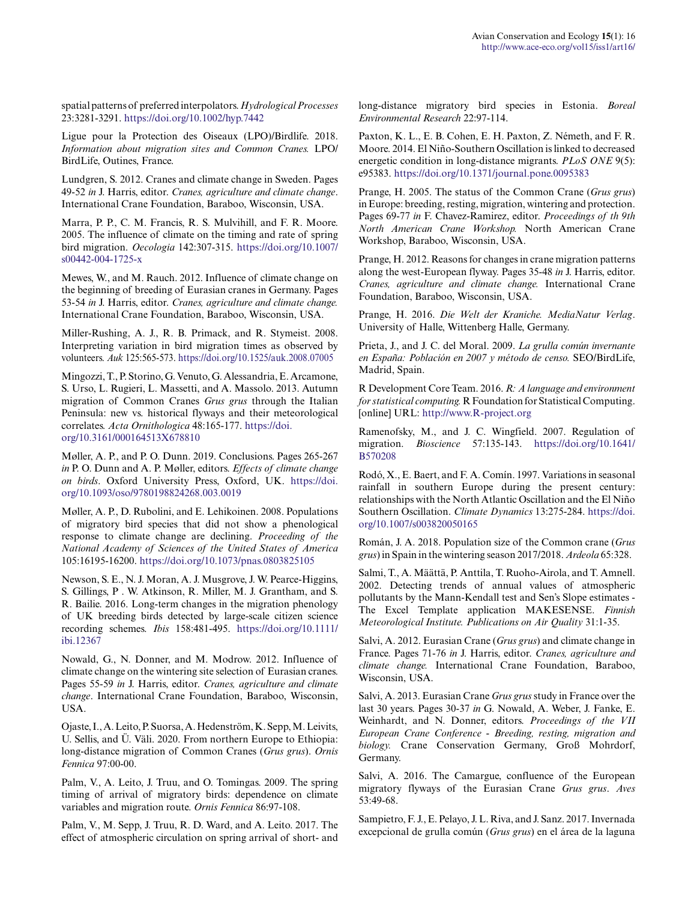spatial patterns of preferred interpolators. *Hydrological Processes* 23:3281-3291.<https://doi.org/10.1002/hyp.7442>

Ligue pour la Protection des Oiseaux (LPO)/Birdlife. 2018. *Information about migration sites and Common Cranes.* LPO/ BirdLife, Outines, France.

Lundgren, S. 2012. Cranes and climate change in Sweden. Pages 49-52 *in* J. Harris, editor. *Cranes, agriculture and climate change*. International Crane Foundation, Baraboo, Wisconsin, USA.

Marra, P. P., C. M. Francis, R. S. Mulvihill, and F. R. Moore. 2005. The influence of climate on the timing and rate of spring bird migration. *Oecologia* 142:307-315. [https://doi.org/10.1007/](https://doi.org/10.1007/s00442-004-1725-x) [s00442-004-1725-x](https://doi.org/10.1007/s00442-004-1725-x) 

Mewes, W., and M. Rauch. 2012. Influence of climate change on the beginning of breeding of Eurasian cranes in Germany. Pages 53-54 *in* J. Harris, editor. *Cranes, agriculture and climate change.* International Crane Foundation, Baraboo, Wisconsin, USA.

Miller-Rushing, A. J., R. B. Primack, and R. Stymeist. 2008. Interpreting variation in bird migration times as observed by volunteers. *Auk* 125:565-573. <https://doi.org/10.1525/auk.2008.07005>

Mingozzi, T., P. Storino, G. Venuto, G. Alessandria, E. Arcamone, S. Urso, L. Rugieri, L. Massetti, and A. Massolo. 2013. Autumn migration of Common Cranes *Grus grus* through the Italian Peninsula: new vs. historical flyways and their meteorological correlates. *Acta Ornithologica* 48:165-177. [https://doi.](https://doi.org/10.3161/000164513X678810) [org/10.3161/000164513X678810](https://doi.org/10.3161/000164513X678810) 

Møller, A. P., and P. O. Dunn. 2019. Conclusions. Pages 265-267 *in* P. O. Dunn and A. P. Møller, editors. *Effects of climate change on birds*. Oxford University Press, Oxford, UK. [https://doi.](https://doi.org/10.1093/oso/9780198824268.003.0019) [org/10.1093/oso/9780198824268.003.0019](https://doi.org/10.1093/oso/9780198824268.003.0019) 

Møller, A. P., D. Rubolini, and E. Lehikoinen. 2008. Populations of migratory bird species that did not show a phenological response to climate change are declining. *Proceeding of the National Academy of Sciences of the United States of America* 105:16195-16200. <https://doi.org/10.1073/pnas.0803825105>

Newson, S. E., N. J. Moran, A. J. Musgrove, J. W. Pearce-Higgins, S. Gillings, P . W. Atkinson, R. Miller, M. J. Grantham, and S. R. Bailie. 2016. Long-term changes in the migration phenology of UK breeding birds detected by large-scale citizen science recording schemes. *Ibis* 158:481-495. [https://doi.org/10.1111/](https://doi.org/10.1111/ibi.12367) [ibi.12367](https://doi.org/10.1111/ibi.12367) 

Nowald, G., N. Donner, and M. Modrow. 2012. Influence of climate change on the wintering site selection of Eurasian cranes. Pages 55-59 *in* J. Harris, editor. *Cranes, agriculture and climate change*. International Crane Foundation, Baraboo, Wisconsin, USA.

Ojaste, I., A. Leito, P. Suorsa, A. Hedenström, K. Sepp, M. Leivits, U. Sellis, and Ü. Väli. 2020. From northern Europe to Ethiopia: long-distance migration of Common Cranes (*Grus grus*). *Ornis Fennica* 97:00-00.

Palm, V., A. Leito, J. Truu, and O. Tomingas. 2009. The spring timing of arrival of migratory birds: dependence on climate variables and migration route. *Ornis Fennica* 86:97-108.

Palm, V., M. Sepp, J. Truu, R. D. Ward, and A. Leito. 2017. The effect of atmospheric circulation on spring arrival of short- and long-distance migratory bird species in Estonia. *Boreal Environmental Research* 22:97-114.

Paxton, K. L., E. B. Cohen, E. H. Paxton, Z. Németh, and F. R. Moore. 2014. El Niño-Southern Oscillation is linked to decreased energetic condition in long-distance migrants. *PLoS ONE* 9(5): e95383.<https://doi.org/10.1371/journal.pone.0095383>

Prange, H. 2005. The status of the Common Crane (*Grus grus*) in Europe: breeding, resting, migration, wintering and protection. Pages 69-77 *in* F. Chavez-Ramirez, editor. *Proceedings of th 9th North American Crane Workshop.* North American Crane Workshop, Baraboo, Wisconsin, USA.

Prange, H. 2012. Reasons for changes in crane migration patterns along the west-European flyway. Pages 35-48 *in* J. Harris, editor. *Cranes, agriculture and climate change.* International Crane Foundation, Baraboo, Wisconsin, USA.

Prange, H. 2016. *Die Welt der Kraniche. MediaNatur Verlag*. University of Halle, Wittenberg Halle, Germany.

Prieta, J., and J. C. del Moral. 2009. *La grulla común invernante en España: Población en 2007 y método de censo.* SEO/BirdLife, Madrid, Spain.

R Development Core Team. 2016. *R: A language and environment for statistical computing.* R Foundation for Statistical Computing. [online] URL: <http://www.R-project.org>

Ramenofsky, M., and J. C. Wingfield. 2007. Regulation of migration. *Bioscience* 57:135-143. [https://doi.org/10.1641/](https://doi.org/10.1641/B570208) [B570208](https://doi.org/10.1641/B570208)

Rodó, X., E. Baert, and F. A. Comín. 1997. Variations in seasonal rainfall in southern Europe during the present century: relationships with the North Atlantic Oscillation and the El Niño Southern Oscillation. *Climate Dynamics* 13:275-284. [https://doi.](https://doi.org/10.1007/s003820050165) [org/10.1007/s003820050165](https://doi.org/10.1007/s003820050165) 

Román, J. A. 2018. Population size of the Common crane (*Grus grus*) in Spain in the wintering season 2017/2018. *Ardeola* 65:328.

Salmi, T., A. Määttä, P. Anttila, T. Ruoho-Airola, and T. Amnell. 2002. Detecting trends of annual values of atmospheric pollutants by the Mann-Kendall test and Sen's Slope estimates - The Excel Template application MAKESENSE. *Finnish Meteorological Institute. Publications on Air Quality* 31:1-35.

Salvi, A. 2012. Eurasian Crane (*Grus grus*) and climate change in France. Pages 71-76 *in* J. Harris, editor. *Cranes, agriculture and climate change.* International Crane Foundation, Baraboo, Wisconsin, USA.

Salvi, A. 2013. Eurasian Crane *Grus grus* study in France over the last 30 years. Pages 30-37 *in* G. Nowald, A. Weber, J. Fanke, E. Weinhardt, and N. Donner, editors. *Proceedings of the VII European Crane Conference - Breeding, resting, migration and biology.* Crane Conservation Germany, Groß Mohrdorf, Germany.

Salvi, A. 2016. The Camargue, confluence of the European migratory flyways of the Eurasian Crane *Grus grus*. *Aves* 53:49-68.

Sampietro, F. J., E. Pelayo, J. L. Riva, and J. Sanz. 2017. Invernada excepcional de grulla común (*Grus grus*) en el área de la laguna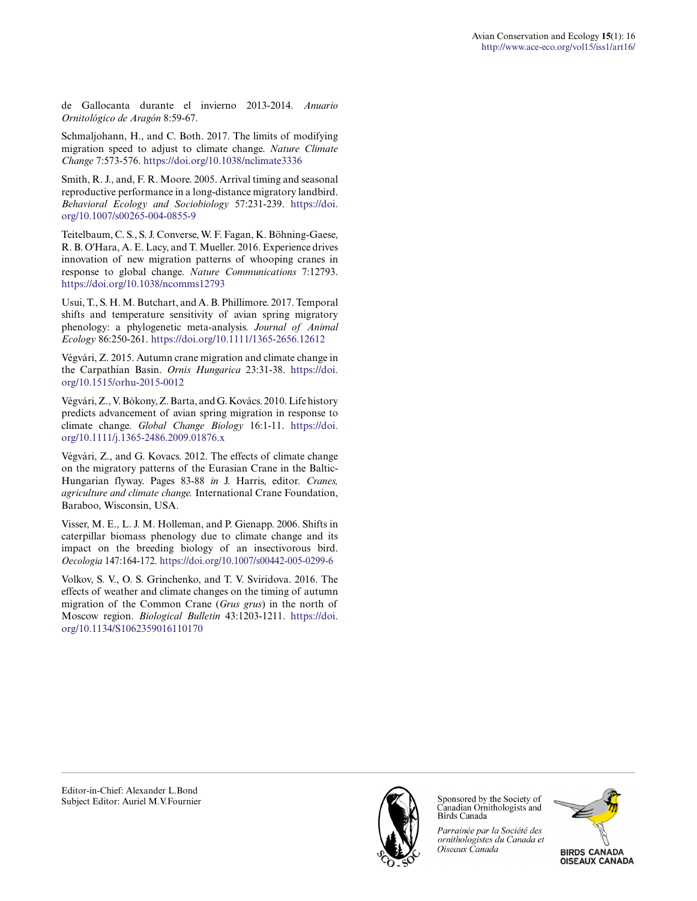de Gallocanta durante el invierno 2013-2014. *Anuario Ornitológico de Aragón* 8:59-67.

Schmaljohann, H., and C. Both. 2017. The limits of modifying migration speed to adjust to climate change. *Nature Climate Change* 7:573-576.<https://doi.org/10.1038/nclimate3336>

Smith, R. J., and, F. R. Moore. 2005. Arrival timing and seasonal reproductive performance in a long-distance migratory landbird. *Behavioral Ecology and Sociobiology* 57:231-239. [https://doi.](https://doi.org/10.1007/s00265-004-0855-9) [org/10.1007/s00265-004-0855-9](https://doi.org/10.1007/s00265-004-0855-9)

Teitelbaum, C. S., S. J. Converse, W. F. Fagan, K. Böhning-Gaese, R. B. O'Hara, A. E. Lacy, and T. Mueller. 2016. Experience drives innovation of new migration patterns of whooping cranes in response to global change. *Nature Communications* 7:12793. <https://doi.org/10.1038/ncomms12793>

Usui, T., S. H. M. Butchart, and A. B. Phillimore. 2017. Temporal shifts and temperature sensitivity of avian spring migratory phenology: a phylogenetic meta-analysis. *Journal of Animal Ecology* 86:250-261. <https://doi.org/10.1111/1365-2656.12612>

Végvári, Z. 2015. Autumn crane migration and climate change in the Carpathian Basin. *Ornis Hungarica* 23:31-38. [https://doi.](https://doi.org/10.1515/orhu-2015-0012) [org/10.1515/orhu-2015-0012](https://doi.org/10.1515/orhu-2015-0012) 

Végvári, Z., V. Bókony, Z. Barta, and G. Kovács. 2010. Life history predicts advancement of avian spring migration in response to climate change. *Global Change Biology* 16:1-11. [https://doi.](https://doi.org/10.1111/j.1365-2486.2009.01876.x) [org/10.1111/j.1365-2486.2009.01876.x](https://doi.org/10.1111/j.1365-2486.2009.01876.x)

Végvári, Z., and G. Kovacs. 2012. The effects of climate change on the migratory patterns of the Eurasian Crane in the Baltic-Hungarian flyway. Pages 83-88 *in* J. Harris, editor. *Cranes, agriculture and climate change.* International Crane Foundation, Baraboo, Wisconsin, USA.

Visser, M. E., L. J. M. Holleman, and P. Gienapp. 2006. Shifts in caterpillar biomass phenology due to climate change and its impact on the breeding biology of an insectivorous bird. *Oecologia* 147:164-172.<https://doi.org/10.1007/s00442-005-0299-6>

Volkov, S. V., O. S. Grinchenko, and T. V. Sviridova. 2016. The effects of weather and climate changes on the timing of autumn migration of the Common Crane (*Grus grus*) in the north of Moscow region. *Biological Bulletin* 43:1203-1211. [https://doi.](https://doi.org/10.1134/S1062359016110170) [org/10.1134/S1062359016110170](https://doi.org/10.1134/S1062359016110170)

Editor-in-Chief: Alexander L.Bond Subject Editor: Auriel M.V.Fournier



Sponsored by the Society of Canadian Ornithologists and **Birds Canada** 

Parrainée par la Société des ornithologistes du Canada et Oiseaux Canada

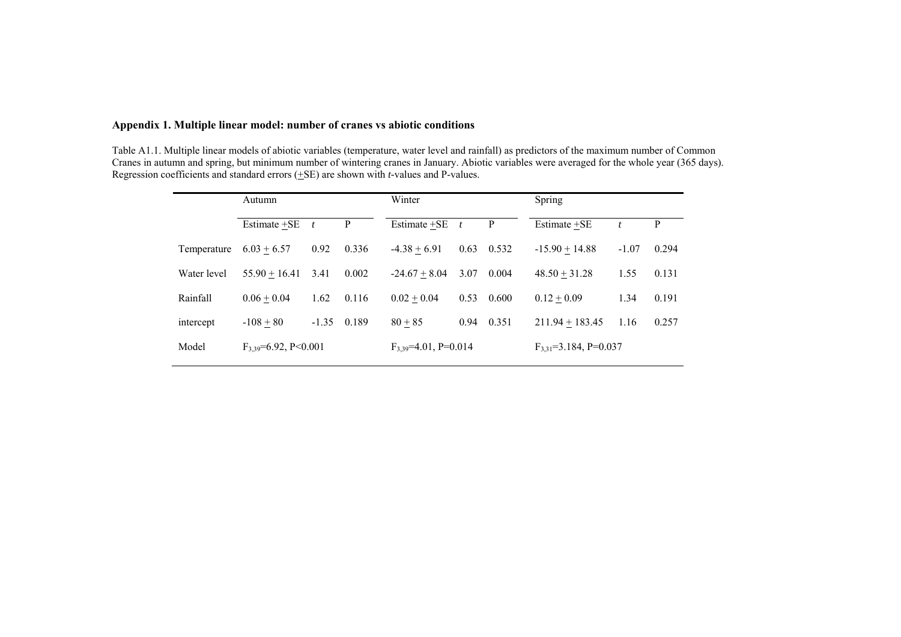### **Appendix 1. Multiple linear model: number of cranes vs abiotic conditions**

Table A1.1. Multiple linear models of abiotic variables (temperature, water level and rainfall) as predictors of the maximum number of Common Cranes in autumn and spring, but minimum number of wintering cranes in January. Abiotic variables were averaged for the whole year (365 days). Regression coefficients and standard errors (+SE) are shown with *t-*values and P-values.

|             | Autumn                      |              |       | Winter                      |              |       | Spring                       |                  |       |
|-------------|-----------------------------|--------------|-------|-----------------------------|--------------|-------|------------------------------|------------------|-------|
|             | Estimate +SE                | $\mathbf{t}$ | P     | Estimate +SE                | $\mathbf{t}$ | P     | Estimate +SE                 | $\boldsymbol{t}$ | P     |
| Temperature | $6.03 + 6.57$               | 0.92         | 0.336 | $-4.38 + 6.91$              | 0.63         | 0.532 | $-15.90 + 14.88$             | $-1.07$          | 0.294 |
| Water level | $55.90 + 16.41$             | 3.41         | 0.002 | $-24.67 + 8.04$             | 3.07         | 0.004 | $48.50 + 31.28$              | 1.55             | 0.131 |
| Rainfall    | $0.06 + 0.04$               | 1.62         | 0.116 | $0.02 + 0.04$               | 0.53         | 0.600 | $0.12 + 0.09$                | 1.34             | 0.191 |
| intercept   | $-108 + 80$                 | $-1.35$      | 0.189 | $80 + 85$                   | 0.94         | 0.351 | $211.94 + 183.45$            | 1.16             | 0.257 |
| Model       | $F_{3,39} = 6.92$ , P<0.001 |              |       | $F_{3,39} = 4.01$ , P=0.014 |              |       | $F_{3,31} = 3.184$ , P=0.037 |                  |       |
|             |                             |              |       |                             |              |       |                              |                  |       |